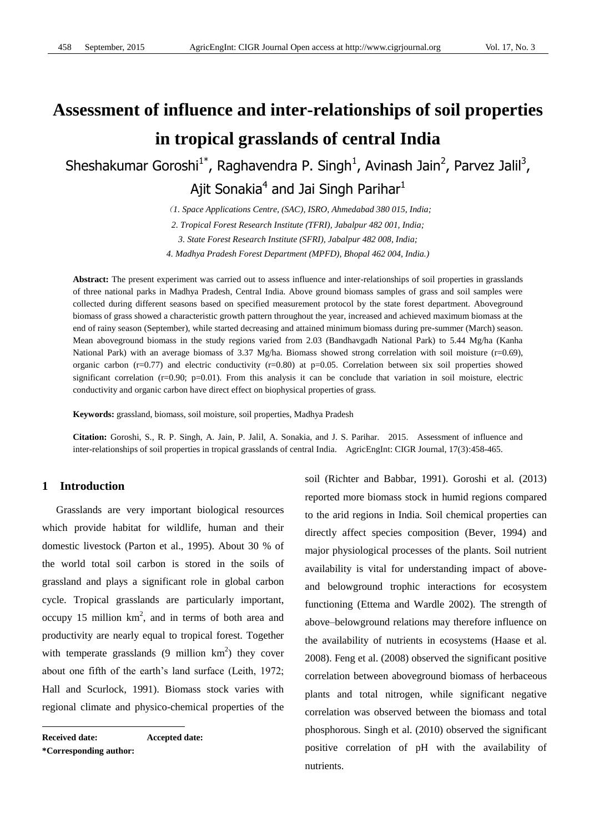# **Assessment of influence and inter-relationships of soil properties in tropical grasslands of central India**

Sheshakumar Goroshi<sup>1\*</sup>, Raghavendra P. Singh<sup>1</sup>, Avinash Jain<sup>2</sup>, Parvez Jalil<sup>3</sup>, Ajit Sonakia<sup>4</sup> and Jai Singh Parihar<sup>1</sup>

(*1. Space Applications Centre, (SAC), ISRO, Ahmedabad 380 015, India;*

*2. Tropical Forest Research Institute (TFRI), Jabalpur 482 001, India;*

*3. State Forest Research Institute (SFRI), Jabalpur 482 008, India;*

*4. Madhya Pradesh Forest Department (MPFD), Bhopal 462 004, India.)*

**Abstract:** The present experiment was carried out to assess influence and inter-relationships of soil properties in grasslands of three national parks in Madhya Pradesh, Central India. Above ground biomass samples of grass and soil samples were collected during different seasons based on specified measurement protocol by the state forest department. Aboveground biomass of grass showed a characteristic growth pattern throughout the year, increased and achieved maximum biomass at the end of rainy season (September), while started decreasing and attained minimum biomass during pre-summer (March) season. Mean aboveground biomass in the study regions varied from 2.03 (Bandhavgadh National Park) to 5.44 Mg/ha (Kanha National Park) with an average biomass of 3.37 Mg/ha. Biomass showed strong correlation with soil moisture ( $r=0.69$ ), organic carbon ( $r=0.77$ ) and electric conductivity ( $r=0.80$ ) at  $p=0.05$ . Correlation between six soil properties showed significant correlation ( $r=0.90$ ;  $p=0.01$ ). From this analysis it can be conclude that variation in soil moisture, electric conductivity and organic carbon have direct effect on biophysical properties of grass.

**Keywords:** grassland, biomass, soil moisture, soil properties, Madhya Pradesh

**Citation:** Goroshi, S., R. P. Singh, A. Jain, P. Jalil, A. Sonakia, and J. S. Parihar. 2015. Assessment of influence and inter-relationships of soil properties in tropical grasslands of central India. AgricEngInt: CIGR Journal, 17(3):458-465.

# **1 Introduction1**

Grasslands are very important biological resources which provide habitat for wildlife, human and their domestic livestock (Parton et al., 1995). About 30 % of the world total soil carbon is stored in the soils of grassland and plays a significant role in global carbon cycle. Tropical grasslands are particularly important, occupy 15 million  $km^2$ , and in terms of both area and productivity are nearly equal to tropical forest. Together with temperate grasslands  $(9 \text{ million km}^2)$  they cover about one fifth of the earth's land surface (Leith, 1972; Hall and Scurlock, 1991). Biomass stock varies with regional climate and physico-chemical properties of the

**Received date: Accepted date: \*Corresponding author:** 

 $\overline{a}$ 

soil (Richter and Babbar, 1991). Goroshi et al. (2013) reported more biomass stock in humid regions compared to the arid regions in India. Soil chemical properties can directly affect species composition (Bever, 1994) and major physiological processes of the plants. Soil nutrient availability is vital for understanding impact of aboveand belowground trophic interactions for ecosystem functioning (Ettema and Wardle 2002). The strength of above–belowground relations may therefore influence on the availability of nutrients in ecosystems (Haase et al. 2008). Feng et al. (2008) observed the significant positive correlation between aboveground biomass of herbaceous plants and total nitrogen, while significant negative correlation was observed between the biomass and total phosphorous. Singh et al. (2010) observed the significant positive correlation of pH with the availability of nutrients.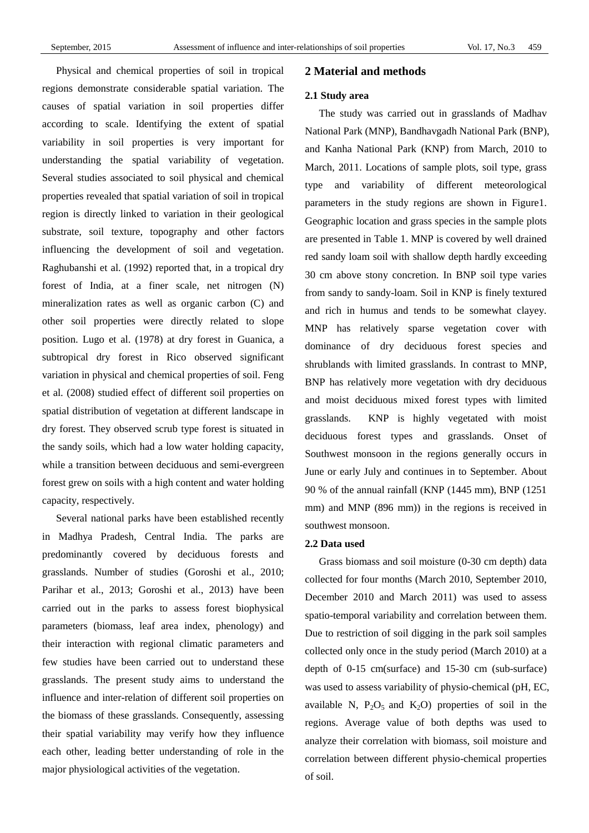Physical and chemical properties of soil in tropical regions demonstrate considerable spatial variation. The causes of spatial variation in soil properties differ according to scale. Identifying the extent of spatial variability in soil properties is very important for understanding the spatial variability of vegetation. Several studies associated to soil physical and chemical properties revealed that spatial variation of soil in tropical region is directly linked to variation in their geological substrate, soil texture, topography and other factors influencing the development of soil and vegetation. Raghubanshi et al. (1992) reported that, in a tropical dry forest of India, at a finer scale, net nitrogen (N) mineralization rates as well as organic carbon (C) and other soil properties were directly related to slope position. Lugo et al. (1978) at dry forest in Guanica, a subtropical dry forest in Rico observed significant variation in physical and chemical properties of soil. Feng et al. (2008) studied effect of different soil properties on spatial distribution of vegetation at different landscape in dry forest. They observed scrub type forest is situated in the sandy soils, which had a low water holding capacity, while a transition between deciduous and semi-evergreen forest grew on soils with a high content and water holding capacity, respectively.

Several national parks have been established recently in Madhya Pradesh, Central India. The parks are predominantly covered by deciduous forests and grasslands. Number of studies (Goroshi et al., 2010; Parihar et al., 2013; Goroshi et al., 2013) have been carried out in the parks to assess forest biophysical parameters (biomass, leaf area index, phenology) and their interaction with regional climatic parameters and few studies have been carried out to understand these grasslands. The present study aims to understand the influence and inter-relation of different soil properties on the biomass of these grasslands. Consequently, assessing their spatial variability may verify how they influence each other, leading better understanding of role in the major physiological activities of the vegetation.

# **2 Material and methods**

#### **2.1 Study area**

The study was carried out in grasslands of Madhav National Park (MNP), Bandhavgadh National Park (BNP), and Kanha National Park (KNP) from March, 2010 to March, 2011. Locations of sample plots, soil type, grass type and variability of different meteorological parameters in the study regions are shown in Figure1. Geographic location and grass species in the sample plots are presented in Table 1. MNP is covered by well drained red sandy loam soil with shallow depth hardly exceeding 30 cm above stony concretion. In BNP soil type varies from sandy to sandy-loam. Soil in KNP is finely textured and rich in humus and tends to be somewhat clayey. MNP has relatively sparse vegetation cover with dominance of dry deciduous forest species and shrublands with limited grasslands. In contrast to MNP, BNP has relatively more vegetation with dry deciduous and moist deciduous mixed forest types with limited grasslands. KNP is highly vegetated with moist deciduous forest types and grasslands. Onset of Southwest monsoon in the regions generally occurs in June or early July and continues in to September. About 90 % of the annual rainfall (KNP (1445 mm), BNP (1251 mm) and MNP (896 mm)) in the regions is received in southwest monsoon.

#### **2.2 Data used**

Grass biomass and soil moisture (0-30 cm depth) data collected for four months (March 2010, September 2010, December 2010 and March 2011) was used to assess spatio-temporal variability and correlation between them. Due to restriction of soil digging in the park soil samples collected only once in the study period (March 2010) at a depth of 0-15 cm(surface) and 15-30 cm (sub-surface) was used to assess variability of physio-chemical (pH, EC, available N,  $P_2O_5$  and  $K_2O$ ) properties of soil in the regions. Average value of both depths was used to analyze their correlation with biomass, soil moisture and correlation between different physio-chemical properties of soil.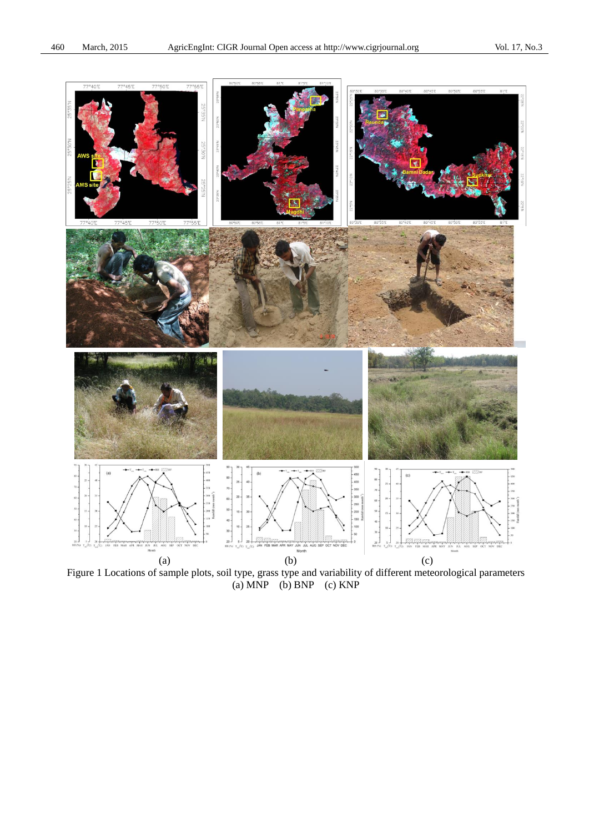

Figure 1 Locations of sample plots, soil type, grass type and variability of different meteorological parameters (a) MNP (b) BNP (c) KNP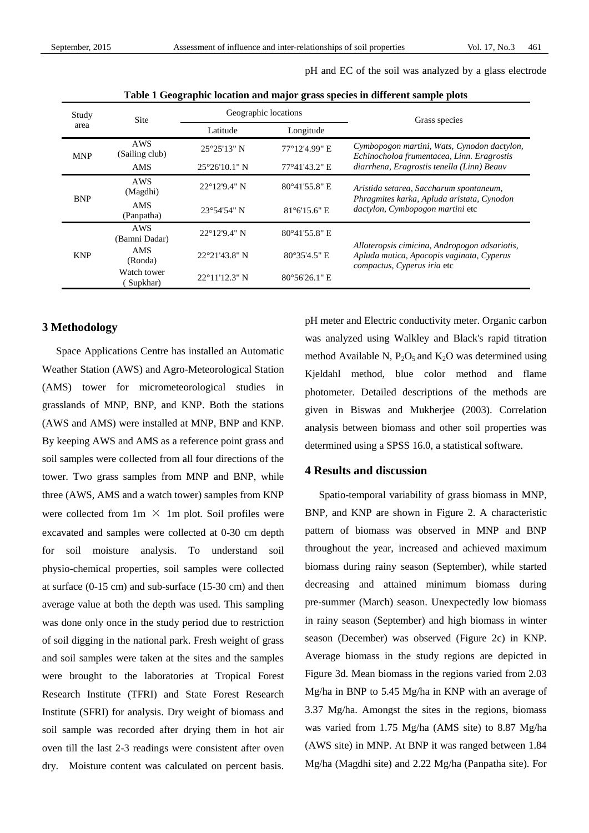pH and EC of the soil was analyzed by a glass electrode

| Study      | <b>Site</b>                  | Geographic locations |                  | Grass species                                                                                                             |  |
|------------|------------------------------|----------------------|------------------|---------------------------------------------------------------------------------------------------------------------------|--|
| area       |                              | Latitude             | Longitude        |                                                                                                                           |  |
| <b>MNP</b> | <b>AWS</b><br>(Sailing club) | 25 25'13" N          | 77 ° 12' 4.99" E | Cymbopogon martini, Wats, Cynodon dactylon,<br>Echinocholoa frumentacea, Linn. Eragrostis                                 |  |
|            | <b>AMS</b>                   | $25\,26'10.1"$ N     | 77 °41'43.2" E   | diarrhena, Eragrostis tenella (Linn) Beauv                                                                                |  |
| <b>BNP</b> | AWS<br>(Magdhi)              | 22 92'9.4" N         | 80 ° 41' 55.8" E | Aristida setarea, Saccharum spontaneum,                                                                                   |  |
|            | <b>AMS</b><br>(Panpatha)     | 23 '54'54" N         | 81 ° 6' 15.6" E  | Phragmites karka, Apluda aristata, Cynodon<br>dactylon, Cymbopogon martini etc                                            |  |
| <b>KNP</b> | AWS<br>(Bamni Dadar)         | 22 92'9.4" N         | 80 °41'55.8" E   |                                                                                                                           |  |
|            | AMS<br>(Ronda)               | 22 21'43.8" N        | 80 35'4.5" E     | Alloteropsis cimicina, Andropogon adsariotis,<br>Apluda mutica, Apocopis vaginata, Cyperus<br>compactus, Cyperus iria etc |  |
|            | Watch tower<br>Supkhar)      | 22 ° 1'12.3" N       | 80 56'26.1" E    |                                                                                                                           |  |

**Table 1 Geographic location and major grass species in different sample plots**

### **3 Methodology**

Space Applications Centre has installed an Automatic Weather Station (AWS) and Agro-Meteorological Station (AMS) tower for micrometeorological studies in grasslands of MNP, BNP, and KNP. Both the stations (AWS and AMS) were installed at MNP, BNP and KNP. By keeping AWS and AMS as a reference point grass and soil samples were collected from all four directions of the tower. Two grass samples from MNP and BNP, while three (AWS, AMS and a watch tower) samples from KNP were collected from  $1m \times 1m$  plot. Soil profiles were excavated and samples were collected at 0-30 cm depth for soil moisture analysis. To understand soil physio-chemical properties, soil samples were collected at surface (0-15 cm) and sub-surface (15-30 cm) and then average value at both the depth was used. This sampling was done only once in the study period due to restriction of soil digging in the national park. Fresh weight of grass and soil samples were taken at the sites and the samples were brought to the laboratories at Tropical Forest Research Institute (TFRI) and State Forest Research Institute (SFRI) for analysis. Dry weight of biomass and soil sample was recorded after drying them in hot air oven till the last 2-3 readings were consistent after oven dry. Moisture content was calculated on percent basis. pH meter and Electric conductivity meter. Organic carbon was analyzed using Walkley and Black's rapid titration method Available N,  $P_2O_5$  and  $K_2O$  was determined using Kjeldahl method, blue color method and flame photometer. Detailed descriptions of the methods are given in Biswas and Mukherjee (2003). Correlation analysis between biomass and other soil properties was determined using a SPSS 16.0, a statistical software.

# **4 Results and discussion**

Spatio-temporal variability of grass biomass in MNP, BNP, and KNP are shown in Figure 2. A characteristic pattern of biomass was observed in MNP and BNP throughout the year, increased and achieved maximum biomass during rainy season (September), while started decreasing and attained minimum biomass during pre-summer (March) season. Unexpectedly low biomass in rainy season (September) and high biomass in winter season (December) was observed (Figure 2c) in KNP. Average biomass in the study regions are depicted in Figure 3d. Mean biomass in the regions varied from 2.03 Mg/ha in BNP to 5.45 Mg/ha in KNP with an average of 3.37 Mg/ha. Amongst the sites in the regions, biomass was varied from 1.75 Mg/ha (AMS site) to 8.87 Mg/ha (AWS site) in MNP. At BNP it was ranged between 1.84 Mg/ha (Magdhi site) and 2.22 Mg/ha (Panpatha site). For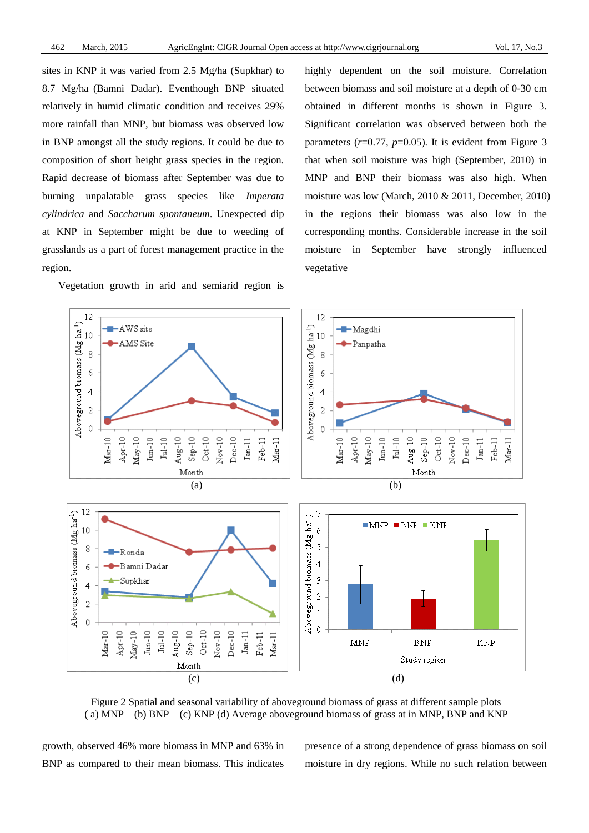sites in KNP it was varied from 2.5 Mg/ha (Supkhar) to 8.7 Mg/ha (Bamni Dadar). Eventhough BNP situated relatively in humid climatic condition and receives 29% more rainfall than MNP, but biomass was observed low in BNP amongst all the study regions. It could be due to composition of short height grass species in the region. Rapid decrease of biomass after September was due to burning unpalatable grass species like *Imperata cylindrica* and *Saccharum spontaneum*. Unexpected dip at KNP in September might be due to weeding of grasslands as a part of forest management practice in the region.

Vegetation growth in arid and semiarid region is

highly dependent on the soil moisture. Correlation between biomass and soil moisture at a depth of 0-30 cm obtained in different months is shown in Figure 3. Significant correlation was observed between both the parameters  $(r=0.77, p=0.05)$ . It is evident from Figure 3 that when soil moisture was high (September, 2010) in MNP and BNP their biomass was also high. When moisture was low (March, 2010 & 2011, December, 2010) in the regions their biomass was also low in the corresponding months. Considerable increase in the soil moisture in September have strongly influenced vegetative



Figure 2 Spatial and seasonal variability of aboveground biomass of grass at different sample plots ( a) MNP (b) BNP (c) KNP (d) Average aboveground biomass of grass at in MNP, BNP and KNP

growth, observed 46% more biomass in MNP and 63% in BNP as compared to their mean biomass. This indicates presence of a strong dependence of grass biomass on soil moisture in dry regions. While no such relation between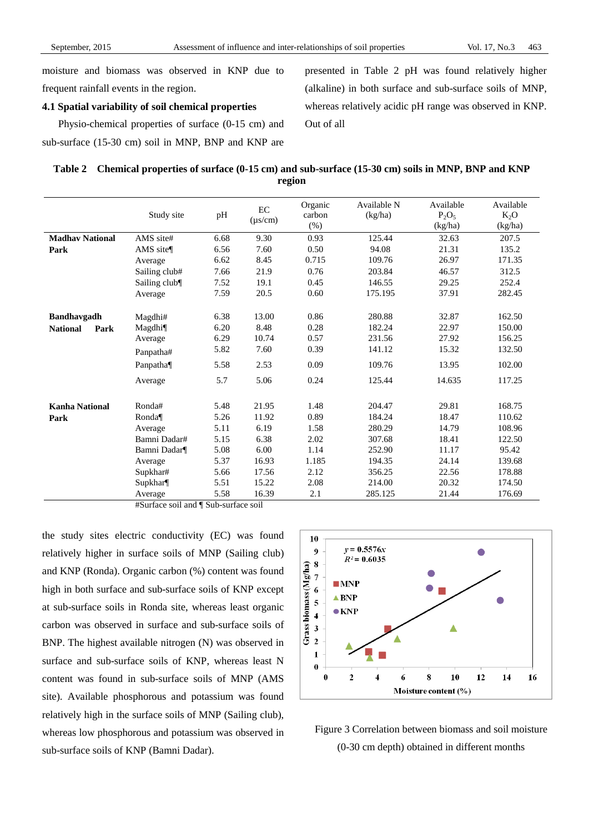moisture and biomass was observed in KNP due to frequent rainfall events in the region.

### **4.1 Spatial variability of soil chemical properties**

Physio-chemical properties of surface (0-15 cm) and sub-surface (15-30 cm) soil in MNP, BNP and KNP are presented in Table 2 pH was found relatively higher (alkaline) in both surface and sub-surface soils of MNP, whereas relatively acidic pH range was observed in KNP. Out of all

| Table 2 Chemical properties of surface (0-15 cm) and sub-surface (15-30 cm) soils in MNP, BNP and KNP |
|-------------------------------------------------------------------------------------------------------|
| region                                                                                                |

|                         | Study site           | pH   | EC<br>$(\mu s/cm)$ | Organic<br>carbon<br>(% ) | Available N<br>(kg/ha) | Available<br>$P_2O_5$<br>(kg/ha) | Available<br>$K_2O$<br>(kg/ha) |
|-------------------------|----------------------|------|--------------------|---------------------------|------------------------|----------------------------------|--------------------------------|
| <b>Madhav National</b>  | AMS site#            | 6.68 | 9.30               | 0.93                      | 125.44                 | 32.63                            | 207.5                          |
| Park                    | AMS site $\P$        | 6.56 | 7.60               | 0.50                      | 94.08                  | 21.31                            | 135.2                          |
|                         | Average              | 6.62 | 8.45               | 0.715                     | 109.76                 | 26.97                            | 171.35                         |
|                         | Sailing club#        | 7.66 | 21.9               | 0.76                      | 203.84                 | 46.57                            | 312.5                          |
|                         | Sailing club¶        | 7.52 | 19.1               | 0.45                      | 146.55                 | 29.25                            | 252.4                          |
|                         | Average              | 7.59 | 20.5               | 0.60                      | 175.195                | 37.91                            | 282.45                         |
| <b>Bandhavgadh</b>      | Magdhi#              | 6.38 | 13.00              | 0.86                      | 280.88                 | 32.87                            | 162.50                         |
| <b>National</b><br>Park | Magdhi¶              | 6.20 | 8.48               | 0.28                      | 182.24                 | 22.97                            | 150.00                         |
|                         | Average              | 6.29 | 10.74              | 0.57                      | 231.56                 | 27.92                            | 156.25                         |
|                         | Panpatha#            | 5.82 | 7.60               | 0.39                      | 141.12                 | 15.32                            | 132.50                         |
|                         | Panpatha¶            | 5.58 | 2.53               | 0.09                      | 109.76                 | 13.95                            | 102.00                         |
|                         | Average              | 5.7  | 5.06               | 0.24                      | 125.44                 | 14.635                           | 117.25                         |
| <b>Kanha National</b>   | Ronda#               | 5.48 | 21.95              | 1.48                      | 204.47                 | 29.81                            | 168.75                         |
| Park                    | Ronda $\P$           | 5.26 | 11.92              | 0.89                      | 184.24                 | 18.47                            | 110.62                         |
|                         | Average              | 5.11 | 6.19               | 1.58                      | 280.29                 | 14.79                            | 108.96                         |
|                         | Bamni Dadar#         | 5.15 | 6.38               | 2.02                      | 307.68                 | 18.41                            | 122.50                         |
|                         | Bamni Dadar¶         | 5.08 | 6.00               | 1.14                      | 252.90                 | 11.17                            | 95.42                          |
|                         | Average              | 5.37 | 16.93              | 1.185                     | 194.35                 | 24.14                            | 139.68                         |
|                         | Supkhar#             | 5.66 | 17.56              | 2.12                      | 356.25                 | 22.56                            | 178.88                         |
|                         | Supkhar <sup>¶</sup> | 5.51 | 15.22              | 2.08                      | 214.00                 | 20.32                            | 174.50                         |
|                         | Average              | 5.58 | 16.39              | 2.1                       | 285.125                | 21.44                            | 176.69                         |

#Surface soil and ¶Sub-surface soil

the study sites electric conductivity (EC) was found relatively higher in surface soils of MNP (Sailing club) and KNP (Ronda). Organic carbon (%) content was found high in both surface and sub-surface soils of KNP except at sub-surface soils in Ronda site, whereas least organic carbon was observed in surface and sub-surface soils of BNP. The highest available nitrogen (N) was observed in surface and sub-surface soils of KNP, whereas least N content was found in sub-surface soils of MNP (AMS site). Available phosphorous and potassium was found relatively high in the surface soils of MNP (Sailing club), whereas low phosphorous and potassium was observed in sub-surface soils of KNP (Bamni Dadar).



Figure 3 Correlation between biomass and soil moisture (0-30 cm depth) obtained in different months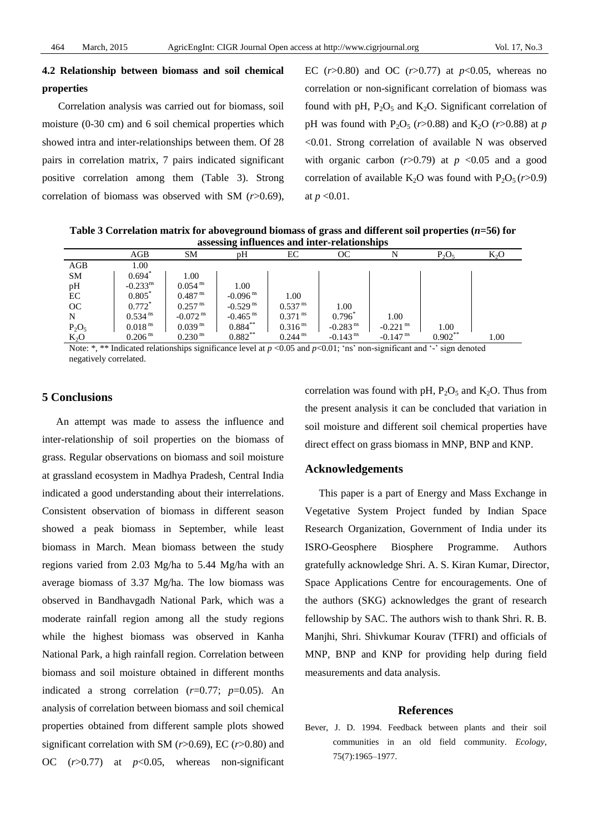# **4.2 Relationship between biomass and soil chemical properties**

Correlation analysis was carried out for biomass, soil moisture (0-30 cm) and 6 soil chemical properties which showed intra and inter-relationships between them. Of 28 pairs in correlation matrix, 7 pairs indicated significant positive correlation among them (Table 3). Strong correlation of biomass was observed with SM (*r*>0.69),

EC  $(r>0.80)$  and OC  $(r>0.77)$  at  $p<0.05$ , whereas no correlation or non-significant correlation of biomass was found with pH,  $P_2O_5$  and  $K_2O$ . Significant correlation of pH was found with  $P_2O_5$  ( $r > 0.88$ ) and  $K_2O$  ( $r > 0.88$ ) at  $p$ <0.01. Strong correlation of available N was observed with organic carbon  $(r>0.79)$  at  $p < 0.05$  and a good correlation of available K<sub>2</sub>O was found with  $P_2O_5 (r > 0.9)$ at *p* <0.01.

**Table 3 Correlation matrix for aboveground biomass of grass and different soil properties (***n***=56) for assessing influences and inter-relationships**

| assessing initiatives and inter-relationships |                        |                        |                        |                       |                        |                        |           |        |  |  |
|-----------------------------------------------|------------------------|------------------------|------------------------|-----------------------|------------------------|------------------------|-----------|--------|--|--|
|                                               | AGB                    | SМ                     | pН                     | EС                    | OC                     |                        | $P_2O_5$  | $K_2O$ |  |  |
| AGB                                           | 1.00                   |                        |                        |                       |                        |                        |           |        |  |  |
| <b>SM</b>                                     | $0.694*$               | 1.00                   |                        |                       |                        |                        |           |        |  |  |
| pH                                            | $-0.233$ <sup>ns</sup> | $0.054$ <sup>ns</sup>  | 1.00                   |                       |                        |                        |           |        |  |  |
| EC                                            | $0.805*$               | $0.487$ <sup>ns</sup>  | $-0.096$ <sup>ns</sup> | 1.00                  |                        |                        |           |        |  |  |
| OC                                            | $0.772$ <sup>*</sup>   | $0.257$ <sup>ns</sup>  | $-0.529$ <sup>ns</sup> | $0.537$ <sup>ns</sup> | 1.00                   |                        |           |        |  |  |
| N                                             | $0.534$ <sup>ns</sup>  | $-0.072$ <sup>ns</sup> | $-0.465$ <sup>ns</sup> | $0.371$ <sup>ns</sup> | 0.796                  | 1.00                   |           |        |  |  |
| $P_2O_5$                                      | $0.018$ <sup>ns</sup>  | $0.039$ <sup>ns</sup>  | $0.884***$             | $0.316$ <sup>ns</sup> | $-0.283$ <sup>ns</sup> | $-0.221$ <sup>ns</sup> | 1.00      |        |  |  |
| $K_2O$                                        | 0.206 <sup>ns</sup>    | $0.230$ <sup>ns</sup>  | $0.882**$              | $0.244$ <sup>ns</sup> | $-0.143$ <sup>ns</sup> | $-0.147$ <sup>ns</sup> | $0.902**$ | 1.00   |  |  |

Note: \*, \*\* Indicated relationships significance level at  $p < 0.05$  and  $p < 0.01$ ; 'ns' non-significant and '-' sign denoted negatively correlated.

# **5 Conclusions**

An attempt was made to assess the influence and inter-relationship of soil properties on the biomass of grass. Regular observations on biomass and soil moisture at grassland ecosystem in Madhya Pradesh, Central India indicated a good understanding about their interrelations. Consistent observation of biomass in different season showed a peak biomass in September, while least biomass in March. Mean biomass between the study regions varied from 2.03 Mg/ha to 5.44 Mg/ha with an average biomass of 3.37 Mg/ha. The low biomass was observed in Bandhavgadh National Park, which was a moderate rainfall region among all the study regions while the highest biomass was observed in Kanha National Park, a high rainfall region. Correlation between biomass and soil moisture obtained in different months indicated a strong correlation (*r*=0.77; *p*=0.05). An analysis of correlation between biomass and soil chemical properties obtained from different sample plots showed significant correlation with SM (*r*>0.69), EC (*r*>0.80) and OC (*r*>0.77) at *p*<0.05, whereas non-significant

correlation was found with pH,  $P_2O_5$  and  $K_2O$ . Thus from the present analysis it can be concluded that variation in soil moisture and different soil chemical properties have direct effect on grass biomass in MNP, BNP and KNP.

#### **Acknowledgements**

This paper is a part of Energy and Mass Exchange in Vegetative System Project funded by Indian Space Research Organization, Government of India under its ISRO-Geosphere Biosphere Programme. Authors gratefully acknowledge Shri. A. S. Kiran Kumar, Director, Space Applications Centre for encouragements. One of the authors (SKG) acknowledges the grant of research fellowship by SAC. The authors wish to thank Shri. R. B. Manjhi, Shri. Shivkumar Kourav (TFRI) and officials of MNP, BNP and KNP for providing help during field measurements and data analysis.

#### **References**

Bever, J. D. 1994. Feedback between plants and their soil communities in an old field community. *Ecology*, 75(7):1965–1977.